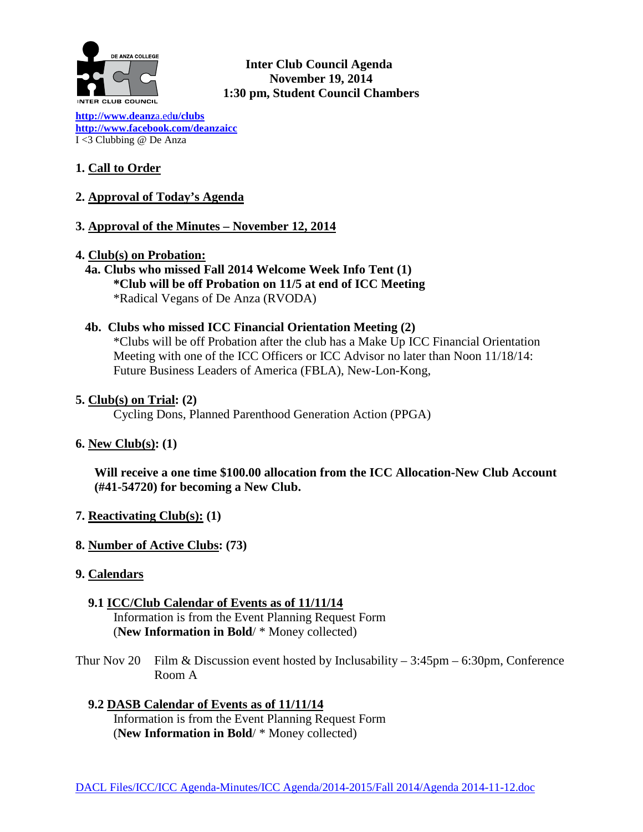

**Inter Club Council Agenda November 19, 2014 1:30 pm, Student Council Chambers** 

**[http://www.deanz](http://www.deanza.edu/clubs)**a.ed**u/clubs [http://www.facebook.com/deanzaicc](http://www.facebook.com/home.php%23!/group.php?gid=59034552686)** I <3 Clubbing @ De Anza

# **1. Call to Order**

- **2. Approval of Today's Agenda**
- **3. Approval of the Minutes – November 12, 2014**
- **4. Club(s) on Probation:**
	- **4a. Clubs who missed Fall 2014 Welcome Week Info Tent (1) \*Club will be off Probation on 11/5 at end of ICC Meeting** \*Radical Vegans of De Anza (RVODA)
	- **4b. Clubs who missed ICC Financial Orientation Meeting (2)**

\*Clubs will be off Probation after the club has a Make Up ICC Financial Orientation Meeting with one of the ICC Officers or ICC Advisor no later than Noon 11/18/14: Future Business Leaders of America (FBLA), New-Lon-Kong,

## **5. Club(s) on Trial: (2)**

Cycling Dons, Planned Parenthood Generation Action (PPGA)

# **6. New Club(s): (1)**

**Will receive a one time \$100.00 allocation from the ICC Allocation-New Club Account (#41-54720) for becoming a New Club.**

- **7. Reactivating Club(s): (1)**
- **8. Number of Active Clubs: (73)**
- **9. Calendars**
	- **9.1 ICC/Club Calendar of Events as of 11/11/14** Information is from the Event Planning Request Form (**New Information in Bold**/ \* Money collected)
- Thur Nov 20 Film & Discussion event hosted by Inclusability  $-3:45$ pm  $-6:30$ pm, Conference Room A

 **9.2 DASB Calendar of Events as of 11/11/14** Information is from the Event Planning Request Form (**New Information in Bold**/ \* Money collected)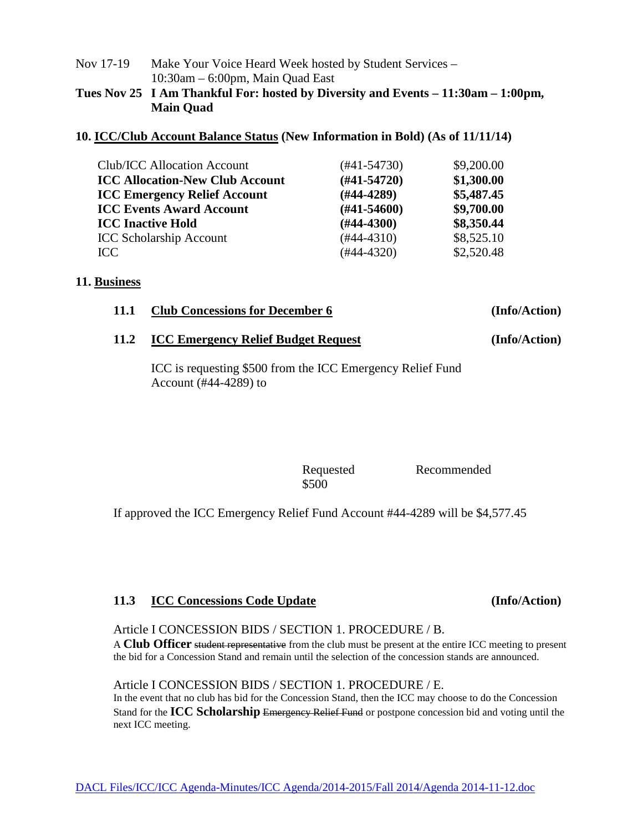# Nov 17-19 Make Your Voice Heard Week hosted by Student Services – 10:30am – 6:00pm, Main Quad East

# **Tues Nov 25 I Am Thankful For: hosted by Diversity and Events – 11:30am – 1:00pm, Main Quad**

# **10. ICC/Club Account Balance Status (New Information in Bold) (As of 11/11/14)**

| Club/ICC Allocation Account            | $(#41-54730)$    | \$9,200.00 |
|----------------------------------------|------------------|------------|
| <b>ICC Allocation-New Club Account</b> | $(#41-54720)$    | \$1,300.00 |
| <b>ICC Emergency Relief Account</b>    | $(H44-4289)$     | \$5,487.45 |
| <b>ICC Events Award Account</b>        | $(\#41 - 54600)$ | \$9,700.00 |
| <b>ICC Inactive Hold</b>               | $(H44-4300)$     | \$8,350.44 |
| <b>ICC Scholarship Account</b>         | $(#44-4310)$     | \$8,525.10 |
| ICC                                    | $(#44-4320)$     | \$2,520.48 |

# **11. Business**

| 11.1 | <b>Club Concessions for December 6</b> | (Info/Action) |
|------|----------------------------------------|---------------|
|      |                                        |               |

## **11.2 ICC Emergency Relief Budget Request (Info/Action)**

ICC is requesting \$500 from the ICC Emergency Relief Fund Account (#44-4289) to

\$500

Requested Recommended

If approved the ICC Emergency Relief Fund Account #44-4289 will be \$4,577.45

# **11.3 ICC Concessions Code Update (Info/Action)**

Article I CONCESSION BIDS / SECTION 1. PROCEDURE / B.

A **Club Officer** student representative from the club must be present at the entire ICC meeting to present the bid for a Concession Stand and remain until the selection of the concession stands are announced.

Article I CONCESSION BIDS / SECTION 1. PROCEDURE / E. In the event that no club has bid for the Concession Stand, then the ICC may choose to do the Concession Stand for the **ICC Scholarship** Emergency Relief Fund or postpone concession bid and voting until the next ICC meeting.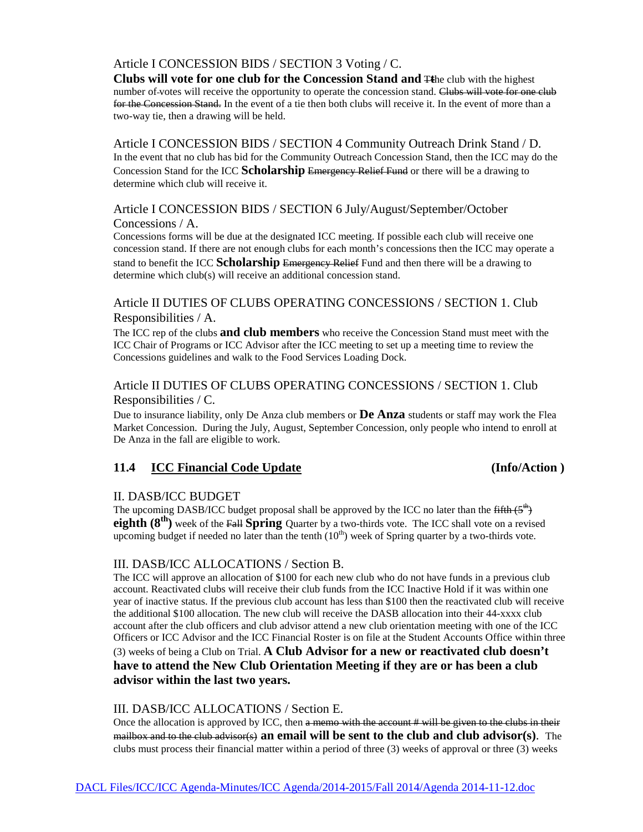# Article I CONCESSION BIDS / SECTION 3 Voting / C.

**Clubs will vote for one club for the Concession Stand and** T**t**he club with the highest number of-votes will receive the opportunity to operate the concession stand. Clubs will vote for one club for the Concession Stand. In the event of a tie then both clubs will receive it. In the event of more than a two-way tie, then a drawing will be held.

Article I CONCESSION BIDS / SECTION 4 Community Outreach Drink Stand / D. In the event that no club has bid for the Community Outreach Concession Stand, then the ICC may do the Concession Stand for the ICC **Scholarship** Emergency Relief Fund or there will be a drawing to determine which club will receive it.

# Article I CONCESSION BIDS / SECTION 6 July/August/September/October Concessions / A.

Concessions forms will be due at the designated ICC meeting. If possible each club will receive one concession stand. If there are not enough clubs for each month's concessions then the ICC may operate a stand to benefit the ICC **Scholarship** Emergency Relief Fund and then there will be a drawing to determine which club(s) will receive an additional concession stand.

## Article II DUTIES OF CLUBS OPERATING CONCESSIONS / SECTION 1. Club Responsibilities / A.

The ICC rep of the clubs **and club members** who receive the Concession Stand must meet with the ICC Chair of Programs or ICC Advisor after the ICC meeting to set up a meeting time to review the Concessions guidelines and walk to the Food Services Loading Dock.

# Article II DUTIES OF CLUBS OPERATING CONCESSIONS / SECTION 1. Club Responsibilities / C.

Due to insurance liability, only De Anza club members or **De Anza** students or staff may work the Flea Market Concession. During the July, August, September Concession, only people who intend to enroll at De Anza in the fall are eligible to work.

# **11.4 ICC Financial Code Update (Info/Action )**

### II. DASB/ICC BUDGET

The upcoming DASB/ICC budget proposal shall be approved by the ICC no later than the  $\frac{f_1 f_2 f_3}{f_1}$ **eighth (8<sup>th</sup>)** week of the Fall **Spring** Quarter by a two-thirds vote. The ICC shall vote on a revised upcoming budget if needed no later than the tenth  $(10<sup>th</sup>)$  week of Spring quarter by a two-thirds vote.

### III. DASB/ICC ALLOCATIONS / Section B.

The ICC will approve an allocation of \$100 for each new club who do not have funds in a previous club account. Reactivated clubs will receive their club funds from the ICC Inactive Hold if it was within one year of inactive status. If the previous club account has less than \$100 then the reactivated club will receive the additional \$100 allocation. The new club will receive the DASB allocation into their 44-xxxx club account after the club officers and club advisor attend a new club orientation meeting with one of the ICC Officers or ICC Advisor and the ICC Financial Roster is on file at the Student Accounts Office within three (3) weeks of being a Club on Trial. **A Club Advisor for a new or reactivated club doesn't have to attend the New Club Orientation Meeting if they are or has been a club advisor within the last two years.**

### III. DASB/ICC ALLOCATIONS / Section E.

Once the allocation is approved by ICC, then a memo with the account # will be given to the clubs in their mailbox and to the club advisor(s) **an email will be sent to the club and club advisor(s)**. The clubs must process their financial matter within a period of three (3) weeks of approval or three (3) weeks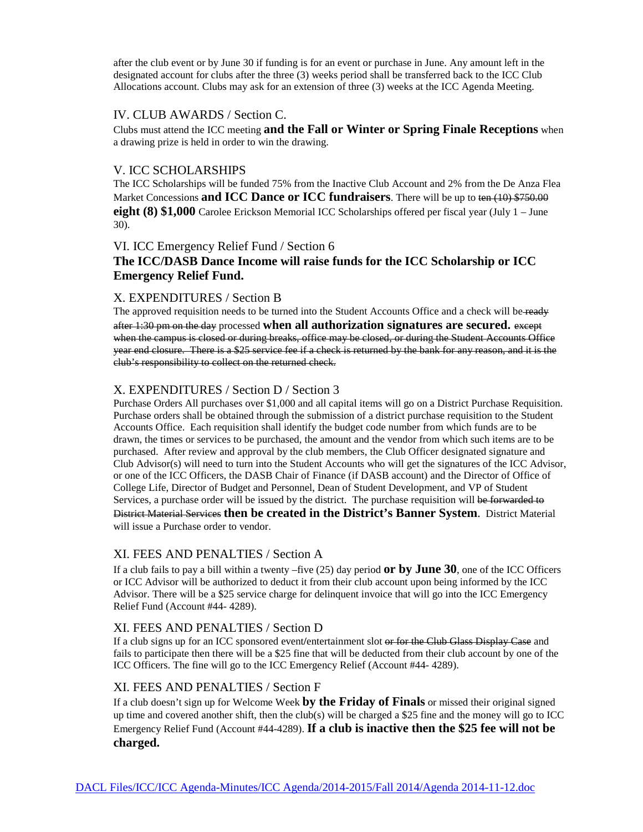after the club event or by June 30 if funding is for an event or purchase in June. Any amount left in the designated account for clubs after the three (3) weeks period shall be transferred back to the ICC Club Allocations account. Clubs may ask for an extension of three (3) weeks at the ICC Agenda Meeting.

#### IV. CLUB AWARDS / Section C.

Clubs must attend the ICC meeting **and the Fall or Winter or Spring Finale Receptions** when a drawing prize is held in order to win the drawing.

#### V. ICC SCHOLARSHIPS

The ICC Scholarships will be funded 75% from the Inactive Club Account and 2% from the De Anza Flea Market Concessions **and ICC Dance or ICC fundraisers**. There will be up to ten (10) \$750.00 **eight (8) \$1,000** Carolee Erickson Memorial ICC Scholarships offered per fiscal year (July 1 – June 30).

### VI. ICC Emergency Relief Fund / Section 6

# **The ICC/DASB Dance Income will raise funds for the ICC Scholarship or ICC Emergency Relief Fund.**

### X. EXPENDITURES / Section B

The approved requisition needs to be turned into the Student Accounts Office and a check will be ready after 1:30 pm on the day processed **when all authorization signatures are secured.** except when the campus is closed or during breaks, office may be closed, or during the Student Accounts Office year end closure. There is a \$25 service fee if a check is returned by the bank for any reason, and it is the club's responsibility to collect on the returned check.

### X. EXPENDITURES / Section D / Section 3

Purchase Orders All purchases over \$1,000 and all capital items will go on a District Purchase Requisition. Purchase orders shall be obtained through the submission of a district purchase requisition to the Student Accounts Office. Each requisition shall identify the budget code number from which funds are to be drawn, the times or services to be purchased, the amount and the vendor from which such items are to be purchased. After review and approval by the club members, the Club Officer designated signature and Club Advisor(s) will need to turn into the Student Accounts who will get the signatures of the ICC Advisor, or one of the ICC Officers, the DASB Chair of Finance (if DASB account) and the Director of Office of College Life, Director of Budget and Personnel, Dean of Student Development, and VP of Student Services, a purchase order will be issued by the district. The purchase requisition will be forwarded to District Material Services **then be created in the District's Banner System**. District Material will issue a Purchase order to vendor.

#### XI. FEES AND PENALTIES / Section A

If a club fails to pay a bill within a twenty –five (25) day period **or by June 30**, one of the ICC Officers or ICC Advisor will be authorized to deduct it from their club account upon being informed by the ICC Advisor. There will be a \$25 service charge for delinquent invoice that will go into the ICC Emergency Relief Fund (Account #44- 4289).

### XI. FEES AND PENALTIES / Section D

If a club signs up for an ICC sponsored event**/**entertainment slot or for the Club Glass Display Case and fails to participate then there will be a \$25 fine that will be deducted from their club account by one of the ICC Officers. The fine will go to the ICC Emergency Relief (Account #44- 4289).

### XI. FEES AND PENALTIES / Section F

If a club doesn't sign up for Welcome Week **by the Friday of Finals** or missed their original signed up time and covered another shift, then the club(s) will be charged a \$25 fine and the money will go to ICC Emergency Relief Fund (Account #44-4289). **If a club is inactive then the \$25 fee will not be charged.**